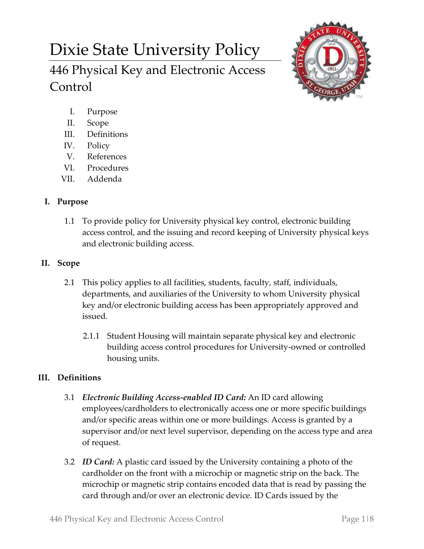# Dixie State University Policy

446 Physical Key and Electronic Access Control



- I. Purpose
- II. Scope
- III. Definitions
- IV. Policy
- V. References
- VI. Procedures
- VII. Addenda

# **I. Purpose**

1.1 To provide policy for University physical key control, electronic building access control, and the issuing and record keeping of University physical keys and electronic building access.

## **II. Scope**

- 2.1 This policy applies to all facilities, students, faculty, staff, individuals, departments, and auxiliaries of the University to whom University physical key and/or electronic building access has been appropriately approved and issued.
	- 2.1.1 Student Housing will maintain separate physical key and electronic building access control procedures for University-owned or controlled housing units.

# **III. Definitions**

- 3.1 *Electronic Building Access-enabled ID Card:* An ID card allowing employees/cardholders to electronically access one or more specific buildings and/or specific areas within one or more buildings. Access is granted by a supervisor and/or next level supervisor, depending on the access type and area of request.
- 3.2 *ID Card:* A plastic card issued by the University containing a photo of the cardholder on the front with a microchip or magnetic strip on the back. The microchip or magnetic strip contains encoded data that is read by passing the card through and/or over an electronic device. ID Cards issued by the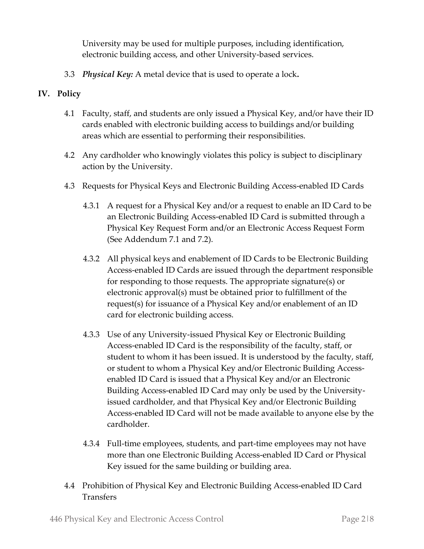University may be used for multiple purposes, including identification, electronic building access, and other University-based services.

3.3 *Physical Key:* A metal device that is used to operate a lock**.**

## **IV. Policy**

- 4.1 Faculty, staff, and students are only issued a Physical Key, and/or have their ID cards enabled with electronic building access to buildings and/or building areas which are essential to performing their responsibilities.
- 4.2 Any cardholder who knowingly violates this policy is subject to disciplinary action by the University.
- 4.3 Requests for Physical Keys and Electronic Building Access-enabled ID Cards
	- 4.3.1 A request for a Physical Key and/or a request to enable an ID Card to be an Electronic Building Access-enabled ID Card is submitted through a Physical Key Request Form and/or an Electronic Access Request Form (See Addendum 7.1 and 7.2).
	- 4.3.2 All physical keys and enablement of ID Cards to be Electronic Building Access-enabled ID Cards are issued through the department responsible for responding to those requests. The appropriate signature(s) or electronic approval(s) must be obtained prior to fulfillment of the request(s) for issuance of a Physical Key and/or enablement of an ID card for electronic building access.
	- 4.3.3 Use of any University-issued Physical Key or Electronic Building Access-enabled ID Card is the responsibility of the faculty, staff, or student to whom it has been issued. It is understood by the faculty, staff, or student to whom a Physical Key and/or Electronic Building Accessenabled ID Card is issued that a Physical Key and/or an Electronic Building Access-enabled ID Card may only be used by the Universityissued cardholder, and that Physical Key and/or Electronic Building Access-enabled ID Card will not be made available to anyone else by the cardholder.
	- 4.3.4 Full-time employees, students, and part-time employees may not have more than one Electronic Building Access-enabled ID Card or Physical Key issued for the same building or building area.
- 4.4 Prohibition of Physical Key and Electronic Building Access-enabled ID Card **Transfers**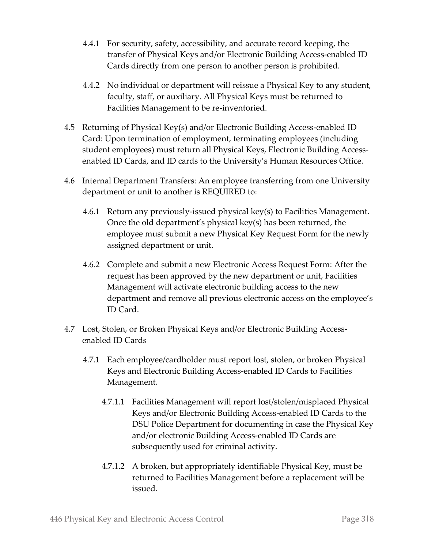- 4.4.1 For security, safety, accessibility, and accurate record keeping, the transfer of Physical Keys and/or Electronic Building Access-enabled ID Cards directly from one person to another person is prohibited.
- 4.4.2 No individual or department will reissue a Physical Key to any student, faculty, staff, or auxiliary. All Physical Keys must be returned to Facilities Management to be re-inventoried.
- 4.5 Returning of Physical Key(s) and/or Electronic Building Access-enabled ID Card: Upon termination of employment, terminating employees (including student employees) must return all Physical Keys, Electronic Building Accessenabled ID Cards, and ID cards to the University's Human Resources Office.
- 4.6 Internal Department Transfers: An employee transferring from one University department or unit to another is REQUIRED to:
	- 4.6.1 Return any previously-issued physical key(s) to Facilities Management. Once the old department's physical key(s) has been returned, the employee must submit a new Physical Key Request Form for the newly assigned department or unit.
	- 4.6.2 Complete and submit a new Electronic Access Request Form: After the request has been approved by the new department or unit, Facilities Management will activate electronic building access to the new department and remove all previous electronic access on the employee's ID Card.
- 4.7 Lost, Stolen, or Broken Physical Keys and/or Electronic Building Accessenabled ID Cards
	- 4.7.1 Each employee/cardholder must report lost, stolen, or broken Physical Keys and Electronic Building Access-enabled ID Cards to Facilities Management.
		- 4.7.1.1 Facilities Management will report lost/stolen/misplaced Physical Keys and/or Electronic Building Access-enabled ID Cards to the DSU Police Department for documenting in case the Physical Key and/or electronic Building Access-enabled ID Cards are subsequently used for criminal activity.
		- 4.7.1.2 A broken, but appropriately identifiable Physical Key, must be returned to Facilities Management before a replacement will be issued.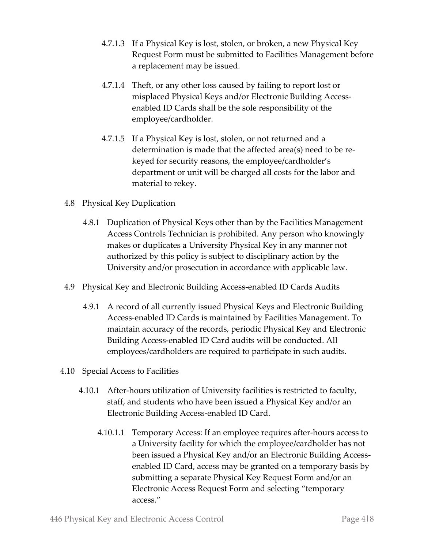- 4.7.1.3 If a Physical Key is lost, stolen, or broken, a new Physical Key Request Form must be submitted to Facilities Management before a replacement may be issued.
- 4.7.1.4 Theft, or any other loss caused by failing to report lost or misplaced Physical Keys and/or Electronic Building Accessenabled ID Cards shall be the sole responsibility of the employee/cardholder.
- 4.7.1.5 If a Physical Key is lost, stolen, or not returned and a determination is made that the affected area(s) need to be rekeyed for security reasons, the employee/cardholder's department or unit will be charged all costs for the labor and material to rekey.
- 4.8 Physical Key Duplication
	- 4.8.1 Duplication of Physical Keys other than by the Facilities Management Access Controls Technician is prohibited. Any person who knowingly makes or duplicates a University Physical Key in any manner not authorized by this policy is subject to disciplinary action by the University and/or prosecution in accordance with applicable law.
- 4.9 Physical Key and Electronic Building Access-enabled ID Cards Audits
	- 4.9.1 A record of all currently issued Physical Keys and Electronic Building Access-enabled ID Cards is maintained by Facilities Management. To maintain accuracy of the records, periodic Physical Key and Electronic Building Access-enabled ID Card audits will be conducted. All employees/cardholders are required to participate in such audits.
- 4.10 Special Access to Facilities
	- 4.10.1 After-hours utilization of University facilities is restricted to faculty, staff, and students who have been issued a Physical Key and/or an Electronic Building Access-enabled ID Card.
		- 4.10.1.1 Temporary Access: If an employee requires after-hours access to a University facility for which the employee/cardholder has not been issued a Physical Key and/or an Electronic Building Accessenabled ID Card, access may be granted on a temporary basis by submitting a separate Physical Key Request Form and/or an Electronic Access Request Form and selecting "temporary access."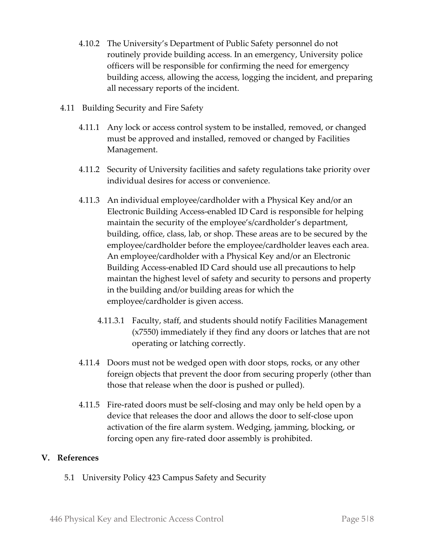- 4.10.2 The University's Department of Public Safety personnel do not routinely provide building access. In an emergency, University police officers will be responsible for confirming the need for emergency building access, allowing the access, logging the incident, and preparing all necessary reports of the incident.
- 4.11 Building Security and Fire Safety
	- 4.11.1 Any lock or access control system to be installed, removed, or changed must be approved and installed, removed or changed by Facilities Management.
	- 4.11.2 Security of University facilities and safety regulations take priority over individual desires for access or convenience.
	- 4.11.3 An individual employee/cardholder with a Physical Key and/or an Electronic Building Access-enabled ID Card is responsible for helping maintain the security of the employee's/cardholder's department, building, office, class, lab, or shop. These areas are to be secured by the employee/cardholder before the employee/cardholder leaves each area. An employee/cardholder with a Physical Key and/or an Electronic Building Access-enabled ID Card should use all precautions to help maintan the highest level of safety and security to persons and property in the building and/or building areas for which the employee/cardholder is given access.
		- 4.11.3.1 Faculty, staff, and students should notify Facilities Management (x7550) immediately if they find any doors or latches that are not operating or latching correctly.
	- 4.11.4 Doors must not be wedged open with door stops, rocks, or any other foreign objects that prevent the door from securing properly (other than those that release when the door is pushed or pulled).
	- 4.11.5 Fire-rated doors must be self-closing and may only be held open by a device that releases the door and allows the door to self-close upon activation of the fire alarm system. Wedging, jamming, blocking, or forcing open any fire-rated door assembly is prohibited.

#### **V. References**

5.1 University Policy 423 Campus Safety and Security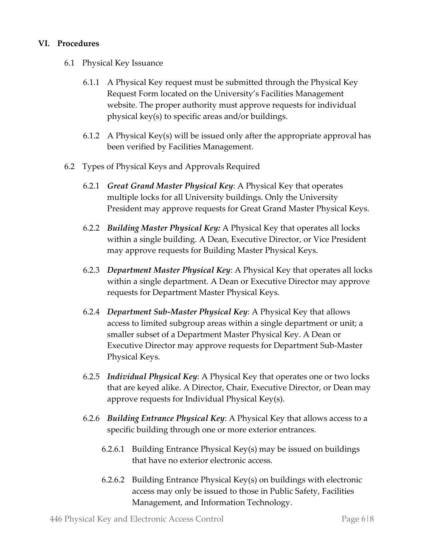### **VI. Procedures**

- 6.1 Physical Key Issuance
	- 6.1.1 A Physical Key request must be submitted through the Physical Key Request Form located on the University's Facilities Management website. The proper authority must approve requests for individual physical key(s) to specific areas and/or buildings.
	- 6.1.2 A Physical Key(s) will be issued only after the appropriate approval has been verified by Facilities Management.
- 6.2 Types of Physical Keys and Approvals Required
	- 6.2.1 *Great Grand Master Physical Key*: A Physical Key that operates multiple locks for all University buildings. Only the University President may approve requests for Great Grand Master Physical Keys.
	- 6.2.2 *Building Master Physical Key:* A Physical Key that operates all locks within a single building. A Dean, Executive Director, or Vice President may approve requests for Building Master Physical Keys.
	- 6.2.3 *Department Master Physical Key*: A Physical Key that operates all locks within a single department. A Dean or Executive Director may approve requests for Department Master Physical Keys.
	- 6.2.4 *Department Sub-Master Physical Key*: A Physical Key that allows access to limited subgroup areas within a single department or unit; a smaller subset of a Department Master Physical Key. A Dean or Executive Director may approve requests for Department Sub-Master Physical Keys.
	- 6.2.5 *Individual Physical Key*: A Physical Key that operates one or two locks that are keyed alike. A Director, Chair, Executive Director, or Dean may approve requests for Individual Physical Key(s).
	- 6.2.6 *Building Entrance Physical Key*: A Physical Key that allows access to a specific building through one or more exterior entrances.
		- 6.2.6.1 Building Entrance Physical Key(s) may be issued on buildings that have no exterior electronic access.
		- 6.2.6.2 Building Entrance Physical Key(s) on buildings with electronic access may only be issued to those in Public Safety, Facilities Management, and Information Technology.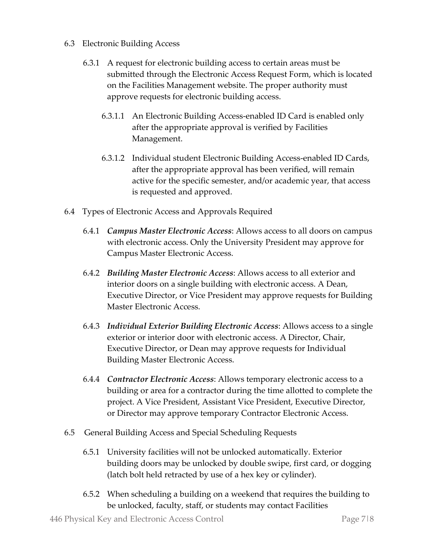- 6.3 Electronic Building Access
	- 6.3.1 A request for electronic building access to certain areas must be submitted through the Electronic Access Request Form, which is located on the Facilities Management website. The proper authority must approve requests for electronic building access.
		- 6.3.1.1 An Electronic Building Access-enabled ID Card is enabled only after the appropriate approval is verified by Facilities Management.
		- 6.3.1.2 Individual student Electronic Building Access-enabled ID Cards, after the appropriate approval has been verified, will remain active for the specific semester, and/or academic year, that access is requested and approved.
- 6.4 Types of Electronic Access and Approvals Required
	- 6.4.1 *Campus Master Electronic Access*: Allows access to all doors on campus with electronic access. Only the University President may approve for Campus Master Electronic Access.
	- 6.4.2 *Building Master Electronic Access*: Allows access to all exterior and interior doors on a single building with electronic access. A Dean, Executive Director, or Vice President may approve requests for Building Master Electronic Access.
	- 6.4.3 *Individual Exterior Building Electronic Access*: Allows access to a single exterior or interior door with electronic access. A Director, Chair, Executive Director, or Dean may approve requests for Individual Building Master Electronic Access.
	- 6.4.4 *Contractor Electronic Access*: Allows temporary electronic access to a building or area for a contractor during the time allotted to complete the project. A Vice President, Assistant Vice President, Executive Director, or Director may approve temporary Contractor Electronic Access.
- 6.5 General Building Access and Special Scheduling Requests
	- 6.5.1 University facilities will not be unlocked automatically. Exterior building doors may be unlocked by double swipe, first card, or dogging (latch bolt held retracted by use of a hex key or cylinder).
	- 6.5.2 When scheduling a building on a weekend that requires the building to be unlocked, faculty, staff, or students may contact Facilities